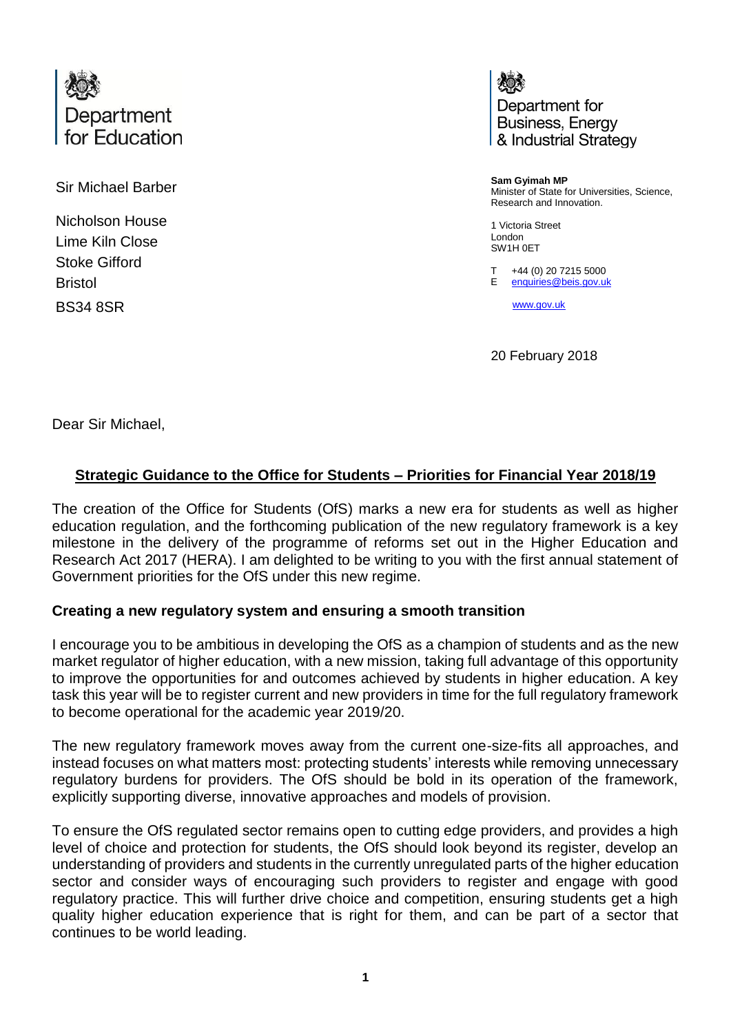

Sir Michael Barber

Nicholson House Lime Kiln Close Stoke Gifford Bristol BS34 8SR

Department for **Business, Energy** & Industrial Strategy

**Sam Gyimah MP** Minister of State for Universities, Science, Research and Innovation.

1 Victoria Street London SW1H 0ET

T +44 (0) 20 7215 5000

E [enquiries@beis.gov.uk](mailto:enquiries@beis.gov.uk)

[www.gov.uk](http://www.gov.uk/)

20 February 2018

Dear Sir Michael,

## **Strategic Guidance to the Office for Students – Priorities for Financial Year 2018/19**

The creation of the Office for Students (OfS) marks a new era for students as well as higher education regulation, and the forthcoming publication of the new regulatory framework is a key milestone in the delivery of the programme of reforms set out in the Higher Education and Research Act 2017 (HERA). I am delighted to be writing to you with the first annual statement of Government priorities for the OfS under this new regime.

### **Creating a new regulatory system and ensuring a smooth transition**

I encourage you to be ambitious in developing the OfS as a champion of students and as the new market regulator of higher education, with a new mission, taking full advantage of this opportunity to improve the opportunities for and outcomes achieved by students in higher education. A key task this year will be to register current and new providers in time for the full regulatory framework to become operational for the academic year 2019/20.

The new regulatory framework moves away from the current one-size-fits all approaches, and instead focuses on what matters most: protecting students' interests while removing unnecessary regulatory burdens for providers. The OfS should be bold in its operation of the framework, explicitly supporting diverse, innovative approaches and models of provision.

To ensure the OfS regulated sector remains open to cutting edge providers, and provides a high level of choice and protection for students, the OfS should look beyond its register, develop an understanding of providers and students in the currently unregulated parts of the higher education sector and consider ways of encouraging such providers to register and engage with good regulatory practice. This will further drive choice and competition, ensuring students get a high quality higher education experience that is right for them, and can be part of a sector that continues to be world leading.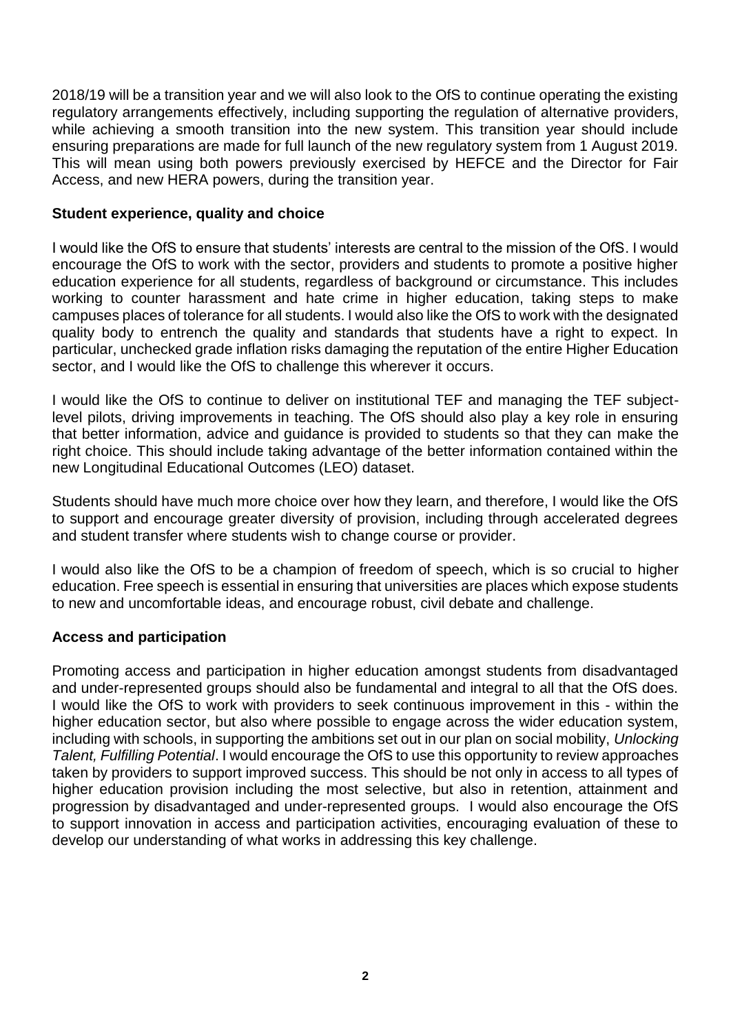2018/19 will be a transition year and we will also look to the OfS to continue operating the existing regulatory arrangements effectively, including supporting the regulation of alternative providers, while achieving a smooth transition into the new system. This transition year should include ensuring preparations are made for full launch of the new regulatory system from 1 August 2019. This will mean using both powers previously exercised by HEFCE and the Director for Fair Access, and new HERA powers, during the transition year.

### **Student experience, quality and choice**

I would like the OfS to ensure that students' interests are central to the mission of the OfS. I would encourage the OfS to work with the sector, providers and students to promote a positive higher education experience for all students, regardless of background or circumstance. This includes working to counter harassment and hate crime in higher education, taking steps to make campuses places of tolerance for all students. I would also like the OfS to work with the designated quality body to entrench the quality and standards that students have a right to expect. In particular, unchecked grade inflation risks damaging the reputation of the entire Higher Education sector, and I would like the OfS to challenge this wherever it occurs.

I would like the OfS to continue to deliver on institutional TEF and managing the TEF subjectlevel pilots, driving improvements in teaching. The OfS should also play a key role in ensuring that better information, advice and guidance is provided to students so that they can make the right choice. This should include taking advantage of the better information contained within the new Longitudinal Educational Outcomes (LEO) dataset.

Students should have much more choice over how they learn, and therefore, I would like the OfS to support and encourage greater diversity of provision, including through accelerated degrees and student transfer where students wish to change course or provider.

I would also like the OfS to be a champion of freedom of speech, which is so crucial to higher education. Free speech is essential in ensuring that universities are places which expose students to new and uncomfortable ideas, and encourage robust, civil debate and challenge.

### **Access and participation**

Promoting access and participation in higher education amongst students from disadvantaged and under-represented groups should also be fundamental and integral to all that the OfS does. I would like the OfS to work with providers to seek continuous improvement in this - within the higher education sector, but also where possible to engage across the wider education system, including with schools, in supporting the ambitions set out in our plan on social mobility, *Unlocking Talent, Fulfilling Potential*. I would encourage the OfS to use this opportunity to review approaches taken by providers to support improved success. This should be not only in access to all types of higher education provision including the most selective, but also in retention, attainment and progression by disadvantaged and under-represented groups. I would also encourage the OfS to support innovation in access and participation activities, encouraging evaluation of these to develop our understanding of what works in addressing this key challenge.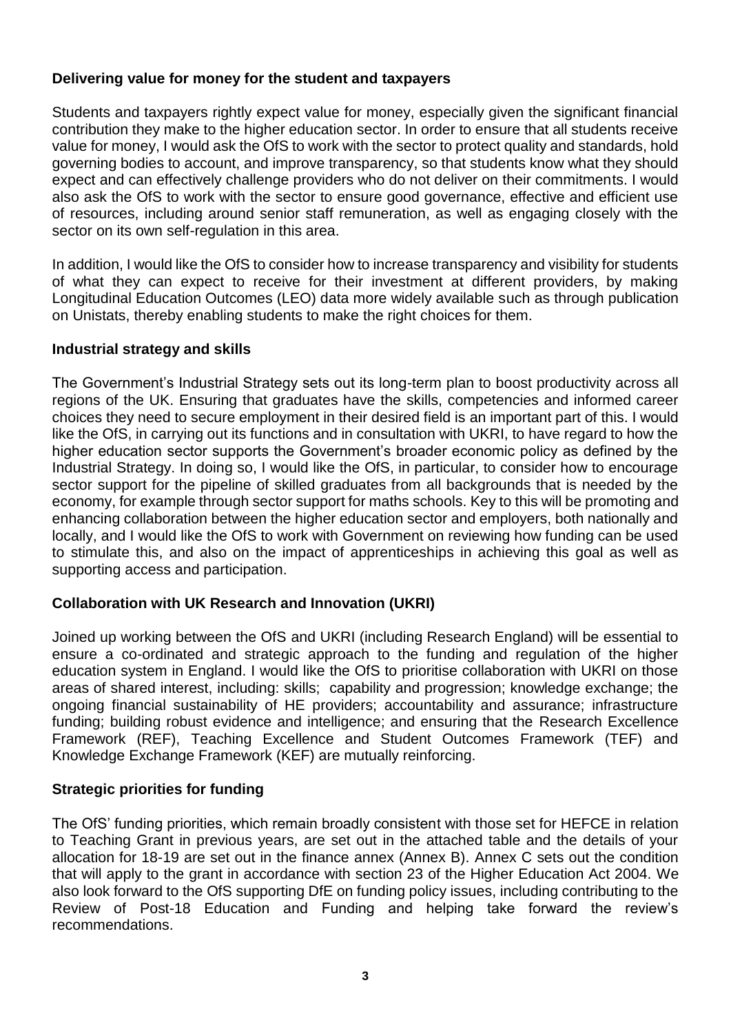### **Delivering value for money for the student and taxpayers**

Students and taxpayers rightly expect value for money, especially given the significant financial contribution they make to the higher education sector. In order to ensure that all students receive value for money, I would ask the OfS to work with the sector to protect quality and standards, hold governing bodies to account, and improve transparency, so that students know what they should expect and can effectively challenge providers who do not deliver on their commitments. I would also ask the OfS to work with the sector to ensure good governance, effective and efficient use of resources, including around senior staff remuneration, as well as engaging closely with the sector on its own self-regulation in this area.

In addition, I would like the OfS to consider how to increase transparency and visibility for students of what they can expect to receive for their investment at different providers, by making Longitudinal Education Outcomes (LEO) data more widely available such as through publication on Unistats, thereby enabling students to make the right choices for them.

### **Industrial strategy and skills**

The Government's Industrial Strategy sets out its long-term plan to boost productivity across all regions of the UK. Ensuring that graduates have the skills, competencies and informed career choices they need to secure employment in their desired field is an important part of this. I would like the OfS, in carrying out its functions and in consultation with UKRI, to have regard to how the higher education sector supports the Government's broader economic policy as defined by the Industrial Strategy. In doing so, I would like the OfS, in particular, to consider how to encourage sector support for the pipeline of skilled graduates from all backgrounds that is needed by the economy, for example through sector support for maths schools. Key to this will be promoting and enhancing collaboration between the higher education sector and employers, both nationally and locally, and I would like the OfS to work with Government on reviewing how funding can be used to stimulate this, and also on the impact of apprenticeships in achieving this goal as well as supporting access and participation.

### **Collaboration with UK Research and Innovation (UKRI)**

Joined up working between the OfS and UKRI (including Research England) will be essential to ensure a co-ordinated and strategic approach to the funding and regulation of the higher education system in England. I would like the OfS to prioritise collaboration with UKRI on those areas of shared interest, including: skills; capability and progression; knowledge exchange; the ongoing financial sustainability of HE providers; accountability and assurance; infrastructure funding; building robust evidence and intelligence; and ensuring that the Research Excellence Framework (REF), Teaching Excellence and Student Outcomes Framework (TEF) and Knowledge Exchange Framework (KEF) are mutually reinforcing.

### **Strategic priorities for funding**

The OfS' funding priorities, which remain broadly consistent with those set for HEFCE in relation to Teaching Grant in previous years, are set out in the attached table and the details of your allocation for 18-19 are set out in the finance annex (Annex B). Annex C sets out the condition that will apply to the grant in accordance with section 23 of the Higher Education Act 2004. We also look forward to the OfS supporting DfE on funding policy issues, including contributing to the Review of Post-18 Education and Funding and helping take forward the review's recommendations.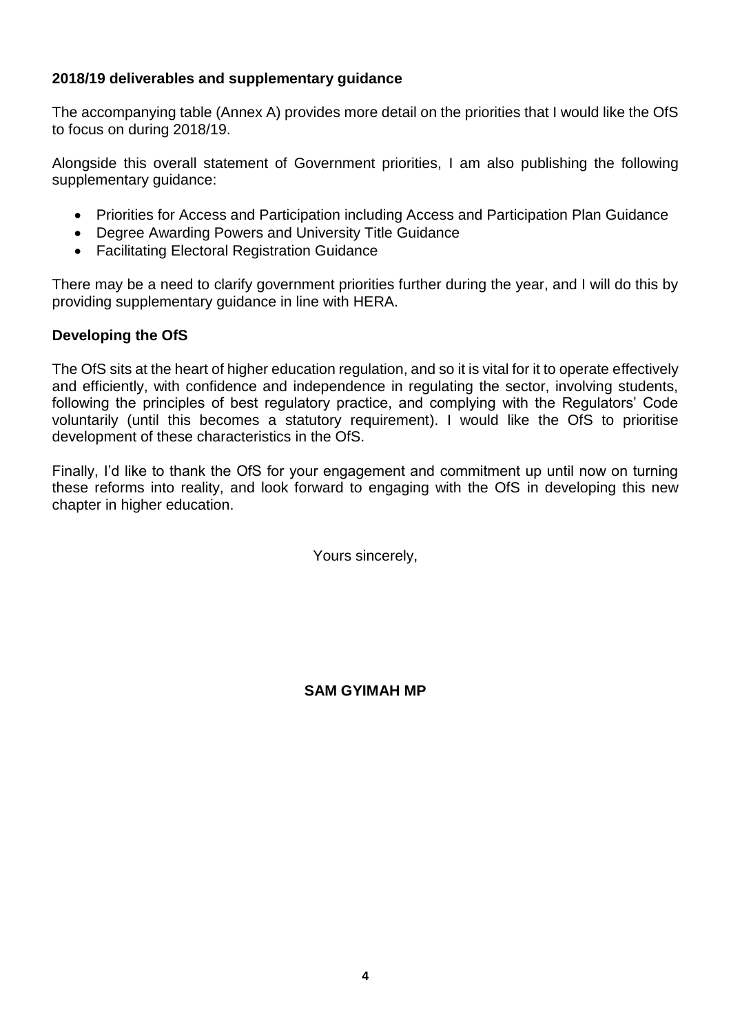# **2018/19 deliverables and supplementary guidance**

The accompanying table (Annex A) provides more detail on the priorities that I would like the OfS to focus on during 2018/19.

Alongside this overall statement of Government priorities, I am also publishing the following supplementary guidance:

- Priorities for Access and Participation including Access and Participation Plan Guidance
- Degree Awarding Powers and University Title Guidance
- Facilitating Electoral Registration Guidance

There may be a need to clarify government priorities further during the year, and I will do this by providing supplementary guidance in line with HERA.

## **Developing the OfS**

The OfS sits at the heart of higher education regulation, and so it is vital for it to operate effectively and efficiently, with confidence and independence in regulating the sector, involving students, following the principles of best regulatory practice, and complying with the Regulators' Code voluntarily (until this becomes a statutory requirement). I would like the OfS to prioritise development of these characteristics in the OfS.

Finally, I'd like to thank the OfS for your engagement and commitment up until now on turning these reforms into reality, and look forward to engaging with the OfS in developing this new chapter in higher education.

Yours sincerely,

**SAM GYIMAH MP**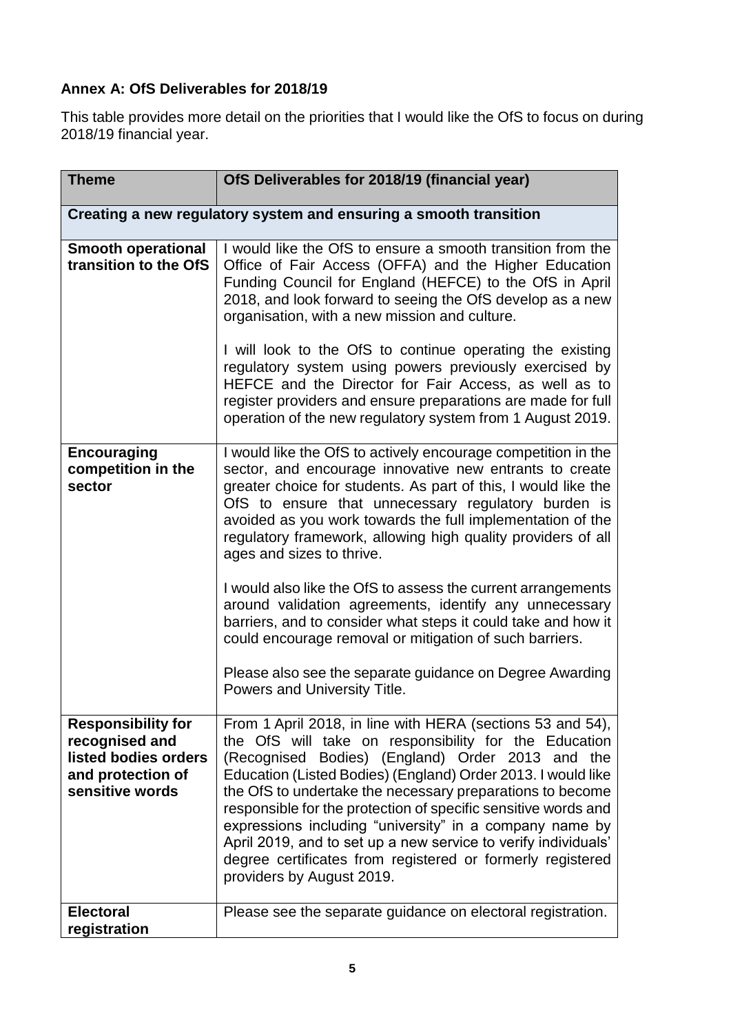# **Annex A: OfS Deliverables for 2018/19**

This table provides more detail on the priorities that I would like the OfS to focus on during 2018/19 financial year.

| <b>Theme</b>                                                                                                | OfS Deliverables for 2018/19 (financial year)                                                                                                                                                                                                                                                                                                                                                                                                                                                                                                                                                                                                                                                                                                                  |  |
|-------------------------------------------------------------------------------------------------------------|----------------------------------------------------------------------------------------------------------------------------------------------------------------------------------------------------------------------------------------------------------------------------------------------------------------------------------------------------------------------------------------------------------------------------------------------------------------------------------------------------------------------------------------------------------------------------------------------------------------------------------------------------------------------------------------------------------------------------------------------------------------|--|
| Creating a new regulatory system and ensuring a smooth transition                                           |                                                                                                                                                                                                                                                                                                                                                                                                                                                                                                                                                                                                                                                                                                                                                                |  |
| <b>Smooth operational</b><br>transition to the OfS                                                          | I would like the OfS to ensure a smooth transition from the<br>Office of Fair Access (OFFA) and the Higher Education<br>Funding Council for England (HEFCE) to the OfS in April<br>2018, and look forward to seeing the OfS develop as a new<br>organisation, with a new mission and culture.<br>I will look to the OfS to continue operating the existing<br>regulatory system using powers previously exercised by<br>HEFCE and the Director for Fair Access, as well as to<br>register providers and ensure preparations are made for full<br>operation of the new regulatory system from 1 August 2019.                                                                                                                                                    |  |
| <b>Encouraging</b><br>competition in the<br>sector                                                          | I would like the OfS to actively encourage competition in the<br>sector, and encourage innovative new entrants to create<br>greater choice for students. As part of this, I would like the<br>OfS to ensure that unnecessary regulatory burden is<br>avoided as you work towards the full implementation of the<br>regulatory framework, allowing high quality providers of all<br>ages and sizes to thrive.<br>I would also like the OfS to assess the current arrangements<br>around validation agreements, identify any unnecessary<br>barriers, and to consider what steps it could take and how it<br>could encourage removal or mitigation of such barriers.<br>Please also see the separate guidance on Degree Awarding<br>Powers and University Title. |  |
| <b>Responsibility for</b><br>recognised and<br>listed bodies orders<br>and protection of<br>sensitive words | From 1 April 2018, in line with HERA (sections 53 and 54),<br>the OfS will take on responsibility for the Education<br>(Recognised Bodies) (England) Order 2013 and the<br>Education (Listed Bodies) (England) Order 2013. I would like<br>the OfS to undertake the necessary preparations to become<br>responsible for the protection of specific sensitive words and<br>expressions including "university" in a company name by<br>April 2019, and to set up a new service to verify individuals'<br>degree certificates from registered or formerly registered<br>providers by August 2019.                                                                                                                                                                 |  |
| <b>Electoral</b><br>registration                                                                            | Please see the separate guidance on electoral registration.                                                                                                                                                                                                                                                                                                                                                                                                                                                                                                                                                                                                                                                                                                    |  |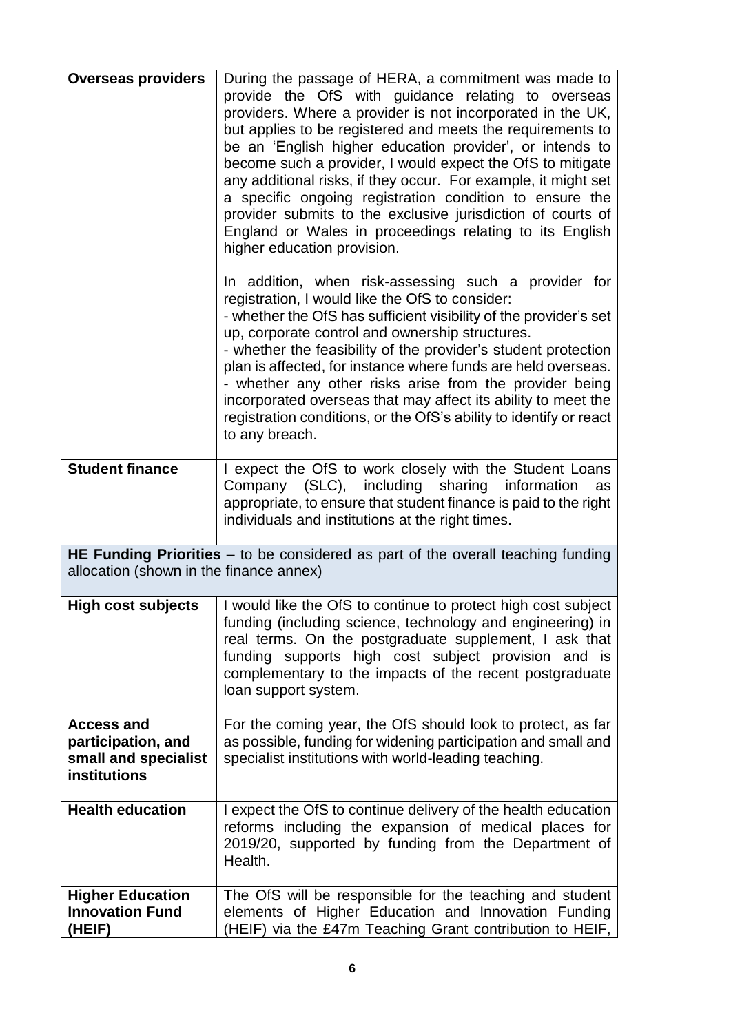| <b>Overseas providers</b>                                                       | During the passage of HERA, a commitment was made to<br>provide the OfS with guidance relating to overseas<br>providers. Where a provider is not incorporated in the UK,<br>but applies to be registered and meets the requirements to<br>be an 'English higher education provider', or intends to<br>become such a provider, I would expect the OfS to mitigate<br>any additional risks, if they occur. For example, it might set<br>a specific ongoing registration condition to ensure the<br>provider submits to the exclusive jurisdiction of courts of<br>England or Wales in proceedings relating to its English<br>higher education provision. |
|---------------------------------------------------------------------------------|--------------------------------------------------------------------------------------------------------------------------------------------------------------------------------------------------------------------------------------------------------------------------------------------------------------------------------------------------------------------------------------------------------------------------------------------------------------------------------------------------------------------------------------------------------------------------------------------------------------------------------------------------------|
|                                                                                 | In addition, when risk-assessing such a provider for<br>registration, I would like the OfS to consider:<br>- whether the OfS has sufficient visibility of the provider's set<br>up, corporate control and ownership structures.<br>- whether the feasibility of the provider's student protection<br>plan is affected, for instance where funds are held overseas.<br>- whether any other risks arise from the provider being<br>incorporated overseas that may affect its ability to meet the<br>registration conditions, or the OfS's ability to identify or react<br>to any breach.                                                                 |
| <b>Student finance</b>                                                          | I expect the OfS to work closely with the Student Loans<br>Company (SLC), including sharing information<br>as<br>appropriate, to ensure that student finance is paid to the right<br>individuals and institutions at the right times.                                                                                                                                                                                                                                                                                                                                                                                                                  |
| allocation (shown in the finance annex)                                         | HE Funding Priorities - to be considered as part of the overall teaching funding                                                                                                                                                                                                                                                                                                                                                                                                                                                                                                                                                                       |
| <b>High cost subjects</b>                                                       | I would like the OfS to continue to protect high cost subject<br>funding (including science, technology and engineering) in<br>real terms. On the postgraduate supplement, I ask that<br>funding supports high cost subject provision and is<br>complementary to the impacts of the recent postgraduate<br>loan support system.                                                                                                                                                                                                                                                                                                                        |
| <b>Access and</b><br>participation, and<br>small and specialist<br>institutions | For the coming year, the OfS should look to protect, as far<br>as possible, funding for widening participation and small and<br>specialist institutions with world-leading teaching.                                                                                                                                                                                                                                                                                                                                                                                                                                                                   |
| <b>Health education</b>                                                         | I expect the OfS to continue delivery of the health education<br>reforms including the expansion of medical places for<br>2019/20, supported by funding from the Department of<br>Health.                                                                                                                                                                                                                                                                                                                                                                                                                                                              |
| <b>Higher Education</b><br><b>Innovation Fund</b><br>(HEIF)                     | The OfS will be responsible for the teaching and student<br>elements of Higher Education and Innovation Funding<br>(HEIF) via the £47m Teaching Grant contribution to HEIF,                                                                                                                                                                                                                                                                                                                                                                                                                                                                            |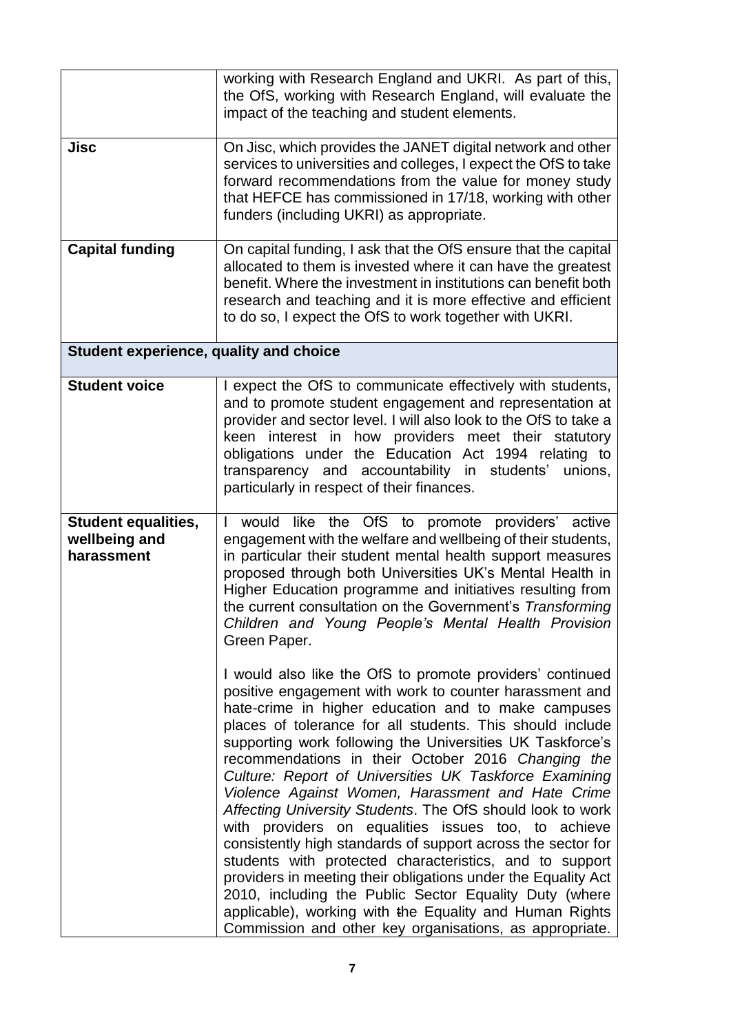|                                                           | working with Research England and UKRI. As part of this,<br>the OfS, working with Research England, will evaluate the<br>impact of the teaching and student elements.                                                                                                                                                                                                                                                                                                                                                                                                                                                                                                                                                                                                                                                                                                                                                                                                                                                                                                                                                                                                                                                                                                                                                                                                                                                     |  |  |
|-----------------------------------------------------------|---------------------------------------------------------------------------------------------------------------------------------------------------------------------------------------------------------------------------------------------------------------------------------------------------------------------------------------------------------------------------------------------------------------------------------------------------------------------------------------------------------------------------------------------------------------------------------------------------------------------------------------------------------------------------------------------------------------------------------------------------------------------------------------------------------------------------------------------------------------------------------------------------------------------------------------------------------------------------------------------------------------------------------------------------------------------------------------------------------------------------------------------------------------------------------------------------------------------------------------------------------------------------------------------------------------------------------------------------------------------------------------------------------------------------|--|--|
| Jisc                                                      | On Jisc, which provides the JANET digital network and other<br>services to universities and colleges, I expect the OfS to take<br>forward recommendations from the value for money study<br>that HEFCE has commissioned in 17/18, working with other<br>funders (including UKRI) as appropriate.                                                                                                                                                                                                                                                                                                                                                                                                                                                                                                                                                                                                                                                                                                                                                                                                                                                                                                                                                                                                                                                                                                                          |  |  |
| <b>Capital funding</b>                                    | On capital funding, I ask that the OfS ensure that the capital<br>allocated to them is invested where it can have the greatest<br>benefit. Where the investment in institutions can benefit both<br>research and teaching and it is more effective and efficient<br>to do so, I expect the OfS to work together with UKRI.                                                                                                                                                                                                                                                                                                                                                                                                                                                                                                                                                                                                                                                                                                                                                                                                                                                                                                                                                                                                                                                                                                |  |  |
| <b>Student experience, quality and choice</b>             |                                                                                                                                                                                                                                                                                                                                                                                                                                                                                                                                                                                                                                                                                                                                                                                                                                                                                                                                                                                                                                                                                                                                                                                                                                                                                                                                                                                                                           |  |  |
| <b>Student voice</b>                                      | I expect the OfS to communicate effectively with students,<br>and to promote student engagement and representation at<br>provider and sector level. I will also look to the OfS to take a<br>keen interest in how providers meet their statutory<br>obligations under the Education Act 1994 relating to<br>transparency and accountability in students'<br>unions,<br>particularly in respect of their finances.                                                                                                                                                                                                                                                                                                                                                                                                                                                                                                                                                                                                                                                                                                                                                                                                                                                                                                                                                                                                         |  |  |
| <b>Student equalities,</b><br>wellbeing and<br>harassment | would like the OfS to promote providers' active<br>engagement with the welfare and wellbeing of their students,<br>in particular their student mental health support measures<br>proposed through both Universities UK's Mental Health in<br>Higher Education programme and initiatives resulting from<br>the current consultation on the Government's Transforming<br>Children and Young People's Mental Health Provision<br>Green Paper.<br>I would also like the OfS to promote providers' continued<br>positive engagement with work to counter harassment and<br>hate-crime in higher education and to make campuses<br>places of tolerance for all students. This should include<br>supporting work following the Universities UK Taskforce's<br>recommendations in their October 2016 Changing the<br>Culture: Report of Universities UK Taskforce Examining<br>Violence Against Women, Harassment and Hate Crime<br>Affecting University Students. The OfS should look to work<br>with providers on equalities issues too, to achieve<br>consistently high standards of support across the sector for<br>students with protected characteristics, and to support<br>providers in meeting their obligations under the Equality Act<br>2010, including the Public Sector Equality Duty (where<br>applicable), working with the Equality and Human Rights<br>Commission and other key organisations, as appropriate. |  |  |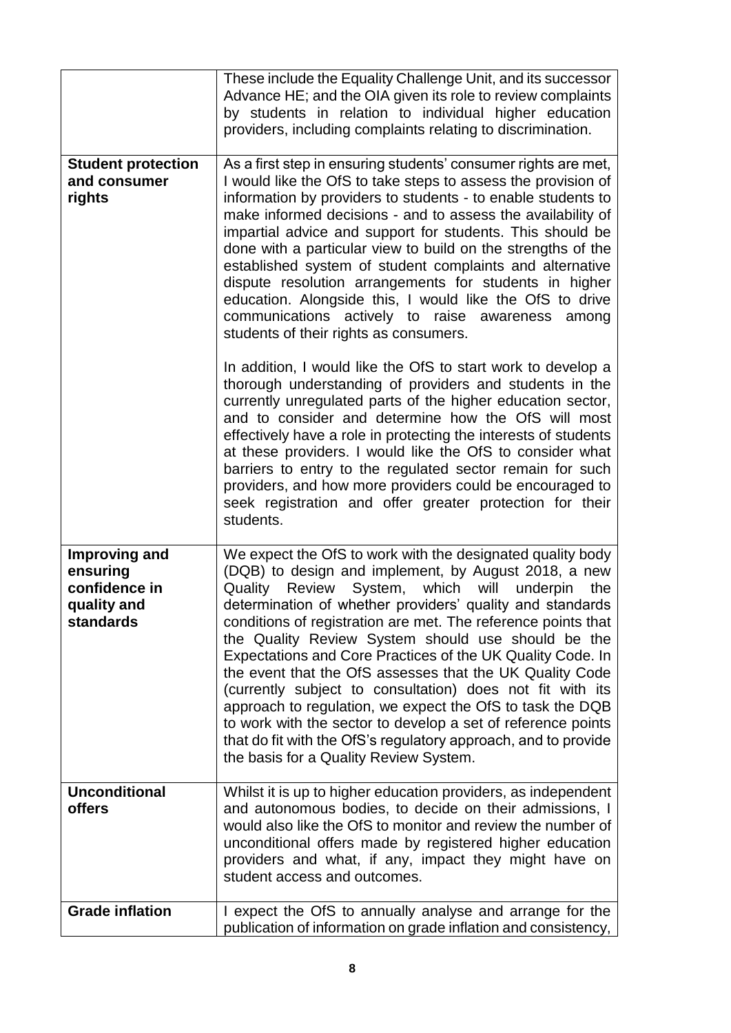|                                                                        | These include the Equality Challenge Unit, and its successor<br>Advance HE; and the OIA given its role to review complaints<br>by students in relation to individual higher education<br>providers, including complaints relating to discrimination.                                                                                                                                                                                                                                                                                                                                                                                                                                                                                                                                           |  |  |
|------------------------------------------------------------------------|------------------------------------------------------------------------------------------------------------------------------------------------------------------------------------------------------------------------------------------------------------------------------------------------------------------------------------------------------------------------------------------------------------------------------------------------------------------------------------------------------------------------------------------------------------------------------------------------------------------------------------------------------------------------------------------------------------------------------------------------------------------------------------------------|--|--|
| <b>Student protection</b><br>and consumer<br>rights                    | As a first step in ensuring students' consumer rights are met,<br>I would like the OfS to take steps to assess the provision of<br>information by providers to students - to enable students to<br>make informed decisions - and to assess the availability of<br>impartial advice and support for students. This should be<br>done with a particular view to build on the strengths of the<br>established system of student complaints and alternative<br>dispute resolution arrangements for students in higher<br>education. Alongside this, I would like the OfS to drive<br>communications actively to raise awareness<br>among<br>students of their rights as consumers.                                                                                                                 |  |  |
|                                                                        | In addition, I would like the OfS to start work to develop a<br>thorough understanding of providers and students in the<br>currently unregulated parts of the higher education sector,<br>and to consider and determine how the OfS will most<br>effectively have a role in protecting the interests of students<br>at these providers. I would like the OfS to consider what<br>barriers to entry to the regulated sector remain for such<br>providers, and how more providers could be encouraged to<br>seek registration and offer greater protection for their<br>students.                                                                                                                                                                                                                |  |  |
| Improving and<br>ensuring<br>confidence in<br>quality and<br>standards | We expect the OfS to work with the designated quality body<br>(DQB) to design and implement, by August 2018, a new<br>Quality Review System, which will<br>underpin<br>the<br>determination of whether providers' quality and standards<br>conditions of registration are met. The reference points that<br>the Quality Review System should use should be the<br>Expectations and Core Practices of the UK Quality Code. In<br>the event that the OfS assesses that the UK Quality Code<br>(currently subject to consultation) does not fit with its<br>approach to regulation, we expect the OfS to task the DQB<br>to work with the sector to develop a set of reference points<br>that do fit with the OfS's regulatory approach, and to provide<br>the basis for a Quality Review System. |  |  |
| <b>Unconditional</b><br>offers                                         | Whilst it is up to higher education providers, as independent<br>and autonomous bodies, to decide on their admissions, I<br>would also like the OfS to monitor and review the number of<br>unconditional offers made by registered higher education<br>providers and what, if any, impact they might have on<br>student access and outcomes.                                                                                                                                                                                                                                                                                                                                                                                                                                                   |  |  |
| <b>Grade inflation</b>                                                 | I expect the OfS to annually analyse and arrange for the<br>publication of information on grade inflation and consistency,                                                                                                                                                                                                                                                                                                                                                                                                                                                                                                                                                                                                                                                                     |  |  |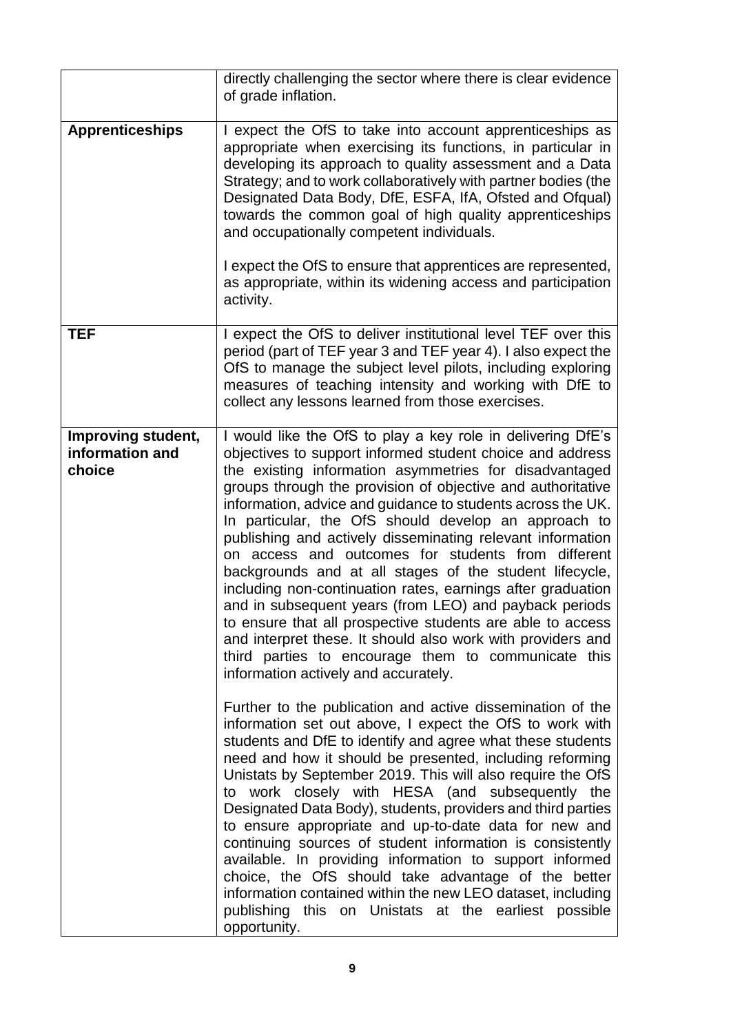|                                                 | directly challenging the sector where there is clear evidence<br>of grade inflation.                                                                                                                                                                                                                                                                                                                                                                                                                                                                                                                                                                                                                                                                                                                                                                                                                         |  |  |
|-------------------------------------------------|--------------------------------------------------------------------------------------------------------------------------------------------------------------------------------------------------------------------------------------------------------------------------------------------------------------------------------------------------------------------------------------------------------------------------------------------------------------------------------------------------------------------------------------------------------------------------------------------------------------------------------------------------------------------------------------------------------------------------------------------------------------------------------------------------------------------------------------------------------------------------------------------------------------|--|--|
| <b>Apprenticeships</b>                          | I expect the OfS to take into account apprenticeships as<br>appropriate when exercising its functions, in particular in<br>developing its approach to quality assessment and a Data<br>Strategy; and to work collaboratively with partner bodies (the<br>Designated Data Body, DfE, ESFA, IfA, Ofsted and Ofqual)<br>towards the common goal of high quality apprenticeships<br>and occupationally competent individuals.<br>I expect the OfS to ensure that apprentices are represented,<br>as appropriate, within its widening access and participation<br>activity.                                                                                                                                                                                                                                                                                                                                       |  |  |
| TEF                                             | I expect the OfS to deliver institutional level TEF over this<br>period (part of TEF year 3 and TEF year 4). I also expect the<br>OfS to manage the subject level pilots, including exploring<br>measures of teaching intensity and working with DfE to<br>collect any lessons learned from those exercises.                                                                                                                                                                                                                                                                                                                                                                                                                                                                                                                                                                                                 |  |  |
| Improving student,<br>information and<br>choice | I would like the OfS to play a key role in delivering DfE's<br>objectives to support informed student choice and address<br>the existing information asymmetries for disadvantaged<br>groups through the provision of objective and authoritative<br>information, advice and guidance to students across the UK.<br>In particular, the OfS should develop an approach to<br>publishing and actively disseminating relevant information<br>on access and outcomes for students from different<br>backgrounds and at all stages of the student lifecycle,<br>including non-continuation rates, earnings after graduation<br>and in subsequent years (from LEO) and payback periods<br>to ensure that all prospective students are able to access<br>and interpret these. It should also work with providers and<br>third parties to encourage them to communicate this<br>information actively and accurately. |  |  |
|                                                 | Further to the publication and active dissemination of the<br>information set out above, I expect the OfS to work with<br>students and DfE to identify and agree what these students<br>need and how it should be presented, including reforming<br>Unistats by September 2019. This will also require the OfS<br>to work closely with HESA (and subsequently the<br>Designated Data Body), students, providers and third parties<br>to ensure appropriate and up-to-date data for new and<br>continuing sources of student information is consistently<br>available. In providing information to support informed<br>choice, the OfS should take advantage of the better<br>information contained within the new LEO dataset, including<br>publishing this on Unistats at the earliest possible<br>opportunity.                                                                                             |  |  |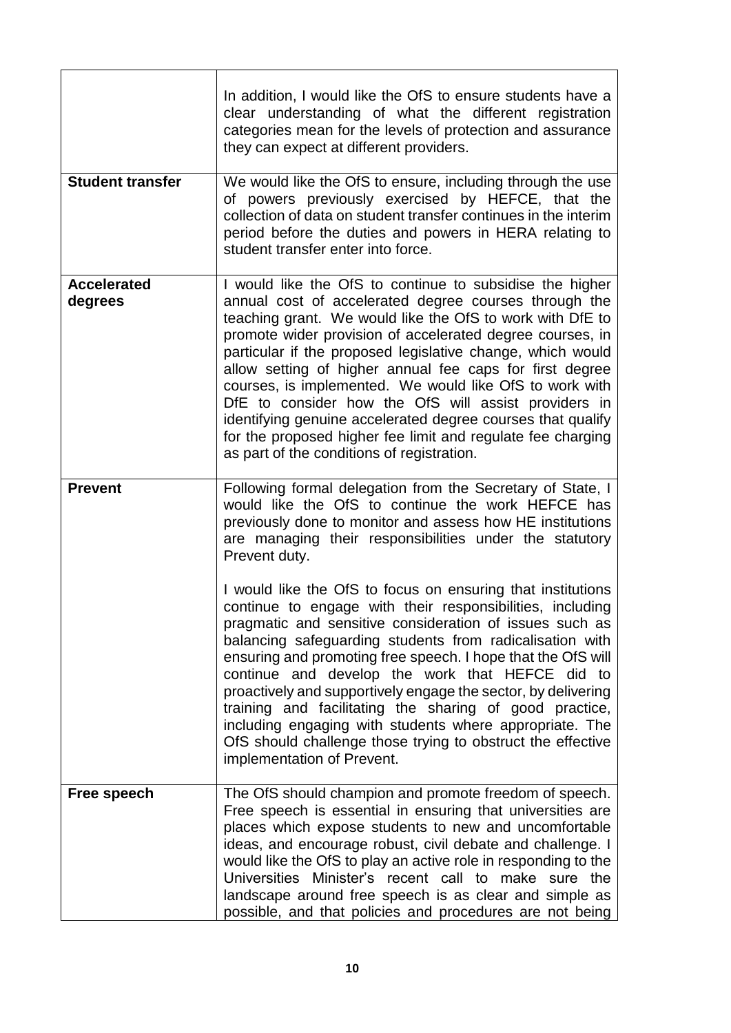|                               | In addition, I would like the OfS to ensure students have a<br>clear understanding of what the different registration<br>categories mean for the levels of protection and assurance<br>they can expect at different providers.                                                                                                                                                                                                                                                                                                                                                                                                                                       |  |  |
|-------------------------------|----------------------------------------------------------------------------------------------------------------------------------------------------------------------------------------------------------------------------------------------------------------------------------------------------------------------------------------------------------------------------------------------------------------------------------------------------------------------------------------------------------------------------------------------------------------------------------------------------------------------------------------------------------------------|--|--|
| <b>Student transfer</b>       | We would like the OfS to ensure, including through the use<br>of powers previously exercised by HEFCE, that the<br>collection of data on student transfer continues in the interim<br>period before the duties and powers in HERA relating to<br>student transfer enter into force.                                                                                                                                                                                                                                                                                                                                                                                  |  |  |
| <b>Accelerated</b><br>degrees | I would like the OfS to continue to subsidise the higher<br>annual cost of accelerated degree courses through the<br>teaching grant. We would like the OfS to work with DfE to<br>promote wider provision of accelerated degree courses, in<br>particular if the proposed legislative change, which would<br>allow setting of higher annual fee caps for first degree<br>courses, is implemented. We would like OfS to work with<br>DfE to consider how the OfS will assist providers in<br>identifying genuine accelerated degree courses that qualify<br>for the proposed higher fee limit and regulate fee charging<br>as part of the conditions of registration. |  |  |
| <b>Prevent</b>                | Following formal delegation from the Secretary of State, I<br>would like the OfS to continue the work HEFCE has<br>previously done to monitor and assess how HE institutions<br>are managing their responsibilities under the statutory<br>Prevent duty.                                                                                                                                                                                                                                                                                                                                                                                                             |  |  |
|                               | I would like the OfS to focus on ensuring that institutions<br>continue to engage with their responsibilities, including<br>pragmatic and sensitive consideration of issues such as<br>balancing safeguarding students from radicalisation with<br>ensuring and promoting free speech. I hope that the OfS will<br>continue and develop the work that HEFCE did to<br>proactively and supportively engage the sector, by delivering<br>training and facilitating the sharing of good practice,<br>including engaging with students where appropriate. The<br>OfS should challenge those trying to obstruct the effective<br>implementation of Prevent.               |  |  |
| Free speech                   | The OfS should champion and promote freedom of speech.<br>Free speech is essential in ensuring that universities are<br>places which expose students to new and uncomfortable<br>ideas, and encourage robust, civil debate and challenge. I<br>would like the OfS to play an active role in responding to the<br>Universities Minister's recent call to make sure the<br>landscape around free speech is as clear and simple as<br>possible, and that policies and procedures are not being                                                                                                                                                                          |  |  |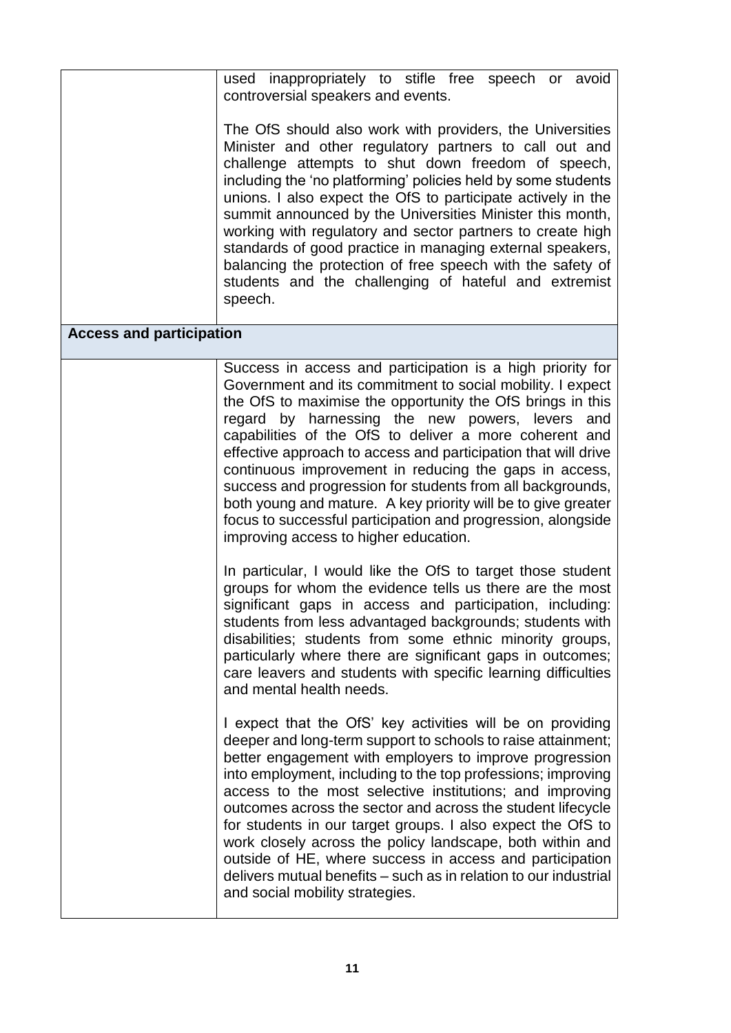|                                 | used inappropriately to stifle free speech or avoid                                                                                                                                                                                                                                                                                                                                                                                                                                                                                                                                                                                                                             |
|---------------------------------|---------------------------------------------------------------------------------------------------------------------------------------------------------------------------------------------------------------------------------------------------------------------------------------------------------------------------------------------------------------------------------------------------------------------------------------------------------------------------------------------------------------------------------------------------------------------------------------------------------------------------------------------------------------------------------|
|                                 | controversial speakers and events.                                                                                                                                                                                                                                                                                                                                                                                                                                                                                                                                                                                                                                              |
|                                 | The OfS should also work with providers, the Universities<br>Minister and other regulatory partners to call out and<br>challenge attempts to shut down freedom of speech,<br>including the 'no platforming' policies held by some students<br>unions. I also expect the OfS to participate actively in the<br>summit announced by the Universities Minister this month,<br>working with regulatory and sector partners to create high<br>standards of good practice in managing external speakers,<br>balancing the protection of free speech with the safety of<br>students and the challenging of hateful and extremist<br>speech.                                            |
| <b>Access and participation</b> |                                                                                                                                                                                                                                                                                                                                                                                                                                                                                                                                                                                                                                                                                 |
|                                 | Success in access and participation is a high priority for<br>Government and its commitment to social mobility. I expect<br>the OfS to maximise the opportunity the OfS brings in this<br>regard by harnessing the new powers, levers<br>and<br>capabilities of the OfS to deliver a more coherent and<br>effective approach to access and participation that will drive<br>continuous improvement in reducing the gaps in access,<br>success and progression for students from all backgrounds,<br>both young and mature. A key priority will be to give greater<br>focus to successful participation and progression, alongside<br>improving access to higher education.      |
|                                 | In particular, I would like the OfS to target those student<br>groups for whom the evidence tells us there are the most<br>significant gaps in access and participation, including:<br>students from less advantaged backgrounds; students with<br>disabilities; students from some ethnic minority groups,<br>particularly where there are significant gaps in outcomes;<br>care leavers and students with specific learning difficulties<br>and mental health needs.                                                                                                                                                                                                          |
|                                 | I expect that the OfS' key activities will be on providing<br>deeper and long-term support to schools to raise attainment;<br>better engagement with employers to improve progression<br>into employment, including to the top professions; improving<br>access to the most selective institutions; and improving<br>outcomes across the sector and across the student lifecycle<br>for students in our target groups. I also expect the OfS to<br>work closely across the policy landscape, both within and<br>outside of HE, where success in access and participation<br>delivers mutual benefits – such as in relation to our industrial<br>and social mobility strategies. |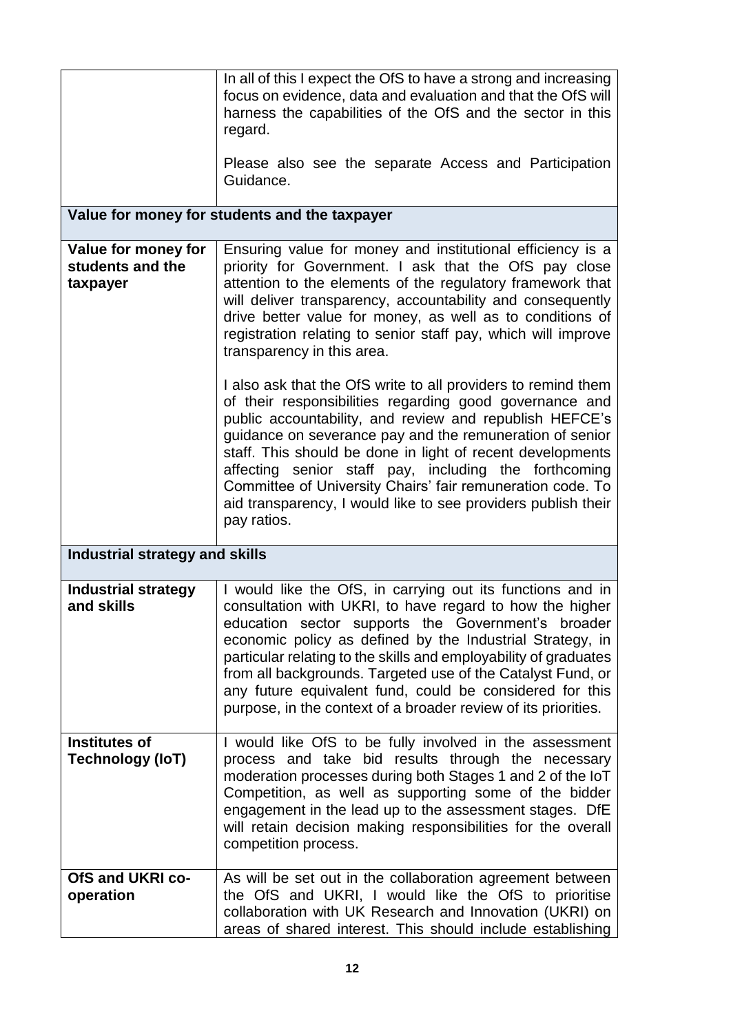|                                                 | In all of this I expect the OfS to have a strong and increasing<br>focus on evidence, data and evaluation and that the OfS will<br>harness the capabilities of the OfS and the sector in this<br>regard.<br>Please also see the separate Access and Participation<br>Guidance.<br>Value for money for students and the taxpayer                                                                                                                                                                                      |
|-------------------------------------------------|----------------------------------------------------------------------------------------------------------------------------------------------------------------------------------------------------------------------------------------------------------------------------------------------------------------------------------------------------------------------------------------------------------------------------------------------------------------------------------------------------------------------|
| Value for money for                             | Ensuring value for money and institutional efficiency is a                                                                                                                                                                                                                                                                                                                                                                                                                                                           |
| students and the<br>taxpayer                    | priority for Government. I ask that the OfS pay close<br>attention to the elements of the regulatory framework that<br>will deliver transparency, accountability and consequently<br>drive better value for money, as well as to conditions of<br>registration relating to senior staff pay, which will improve<br>transparency in this area.                                                                                                                                                                        |
|                                                 | I also ask that the OfS write to all providers to remind them<br>of their responsibilities regarding good governance and<br>public accountability, and review and republish HEFCE's<br>guidance on severance pay and the remuneration of senior<br>staff. This should be done in light of recent developments<br>affecting senior staff pay, including the forthcoming<br>Committee of University Chairs' fair remuneration code. To<br>aid transparency, I would like to see providers publish their<br>pay ratios. |
| <b>Industrial strategy and skills</b>           |                                                                                                                                                                                                                                                                                                                                                                                                                                                                                                                      |
| <b>Industrial strategy</b><br>and skills        | I would like the OfS, in carrying out its functions and in<br>consultation with UKRI, to have regard to how the higher<br>education sector supports the Government's broader<br>economic policy as defined by the Industrial Strategy, in<br>particular relating to the skills and employability of graduates<br>from all backgrounds. Targeted use of the Catalyst Fund, or<br>any future equivalent fund, could be considered for this<br>purpose, in the context of a broader review of its priorities.           |
| <b>Institutes of</b><br><b>Technology (IoT)</b> | I would like OfS to be fully involved in the assessment<br>process and take bid results through the necessary<br>moderation processes during both Stages 1 and 2 of the IoT<br>Competition, as well as supporting some of the bidder<br>engagement in the lead up to the assessment stages. DfE<br>will retain decision making responsibilities for the overall<br>competition process.                                                                                                                              |
| OfS and UKRI co-                                | As will be set out in the collaboration agreement between                                                                                                                                                                                                                                                                                                                                                                                                                                                            |
| operation                                       | the OfS and UKRI, I would like the OfS to prioritise<br>collaboration with UK Research and Innovation (UKRI) on<br>areas of shared interest. This should include establishing                                                                                                                                                                                                                                                                                                                                        |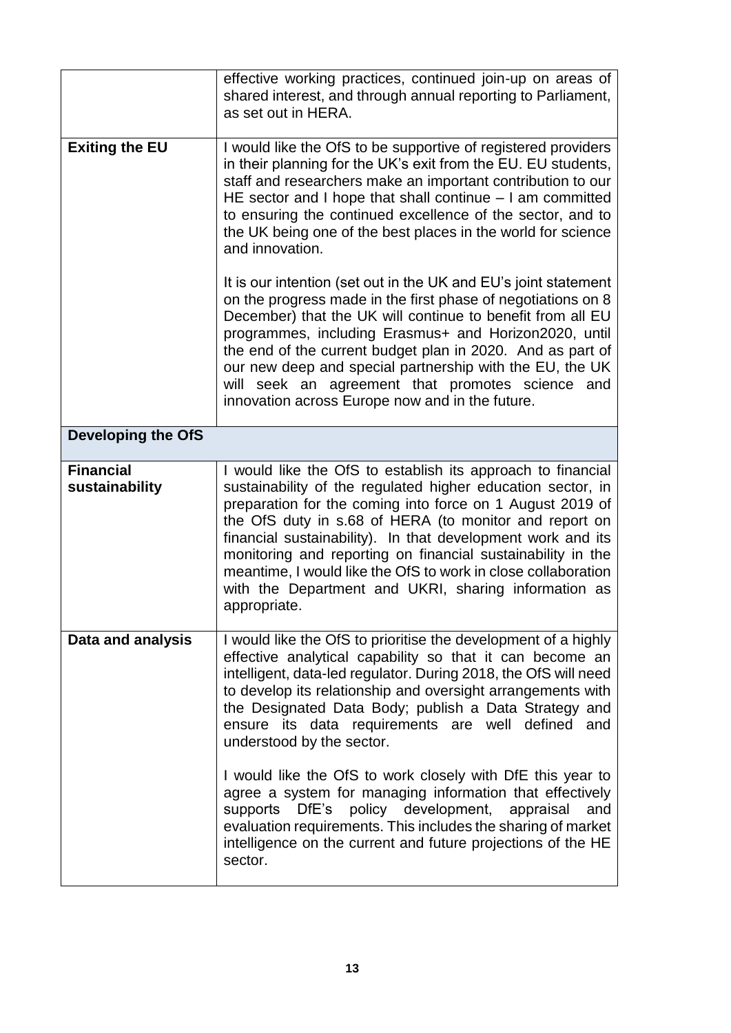|                                    | effective working practices, continued join-up on areas of<br>shared interest, and through annual reporting to Parliament,<br>as set out in HERA.                                                                                                                                                                                                                                                                                                                                                                        |  |
|------------------------------------|--------------------------------------------------------------------------------------------------------------------------------------------------------------------------------------------------------------------------------------------------------------------------------------------------------------------------------------------------------------------------------------------------------------------------------------------------------------------------------------------------------------------------|--|
| <b>Exiting the EU</b>              | I would like the OfS to be supportive of registered providers<br>in their planning for the UK's exit from the EU. EU students,<br>staff and researchers make an important contribution to our<br>HE sector and I hope that shall continue $-1$ am committed<br>to ensuring the continued excellence of the sector, and to<br>the UK being one of the best places in the world for science<br>and innovation.                                                                                                             |  |
|                                    | It is our intention (set out in the UK and EU's joint statement<br>on the progress made in the first phase of negotiations on 8<br>December) that the UK will continue to benefit from all EU<br>programmes, including Erasmus+ and Horizon2020, until<br>the end of the current budget plan in 2020. And as part of<br>our new deep and special partnership with the EU, the UK<br>will seek an agreement that promotes science and<br>innovation across Europe now and in the future.                                  |  |
| <b>Developing the OfS</b>          |                                                                                                                                                                                                                                                                                                                                                                                                                                                                                                                          |  |
| <b>Financial</b><br>sustainability | I would like the OfS to establish its approach to financial<br>sustainability of the regulated higher education sector, in<br>preparation for the coming into force on 1 August 2019 of<br>the OfS duty in s.68 of HERA (to monitor and report on<br>financial sustainability). In that development work and its<br>monitoring and reporting on financial sustainability in the<br>meantime, I would like the OfS to work in close collaboration<br>with the Department and UKRI, sharing information as<br>appropriate. |  |
| Data and analysis                  | I would like the OfS to prioritise the development of a highly<br>effective analytical capability so that it can become an<br>intelligent, data-led regulator. During 2018, the OfS will need<br>to develop its relationship and oversight arrangements with<br>the Designated Data Body; publish a Data Strategy and<br>its data requirements are well defined<br>ensure<br>and<br>understood by the sector.                                                                                                            |  |
|                                    | I would like the OfS to work closely with DfE this year to<br>agree a system for managing information that effectively<br>policy development, appraisal<br>DfE's<br>supports<br>and<br>evaluation requirements. This includes the sharing of market<br>intelligence on the current and future projections of the HE<br>sector.                                                                                                                                                                                           |  |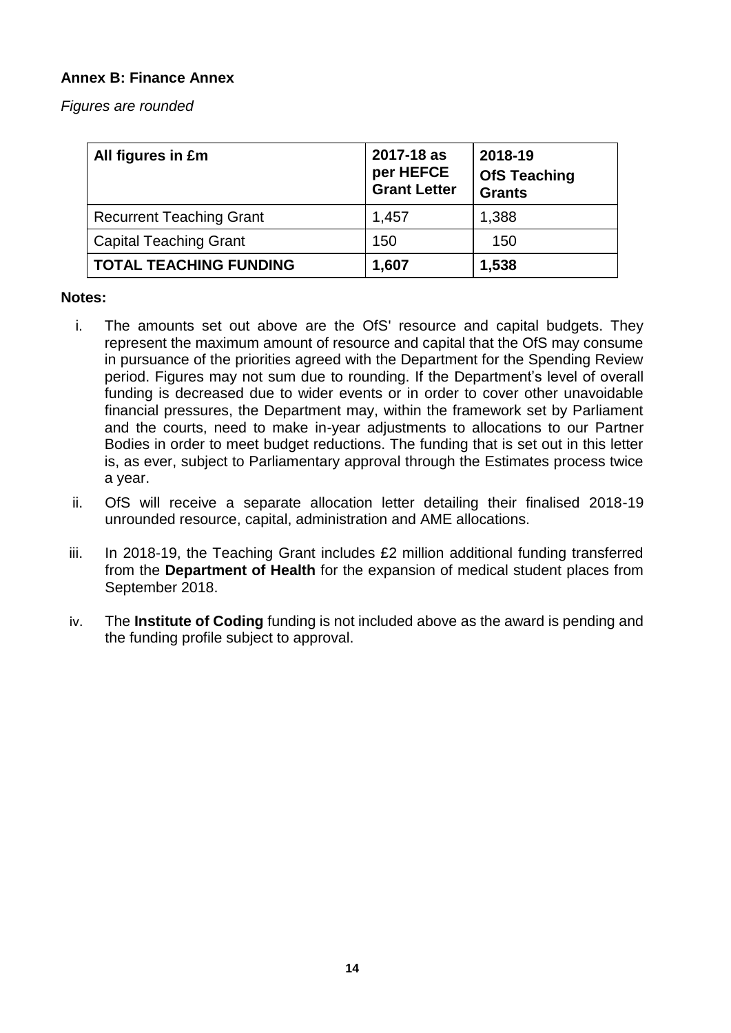## **Annex B: Finance Annex**

*Figures are rounded*

| All figures in £m               | 2017-18 as<br>per HEFCE<br><b>Grant Letter</b> | 2018-19<br><b>OfS Teaching</b><br><b>Grants</b> |
|---------------------------------|------------------------------------------------|-------------------------------------------------|
| <b>Recurrent Teaching Grant</b> | 1,457                                          | 1,388                                           |
| <b>Capital Teaching Grant</b>   | 150                                            | 150                                             |
| <b>TOTAL TEACHING FUNDING</b>   | 1,607                                          | 1,538                                           |

#### **Notes:**

- i. The amounts set out above are the OfS' resource and capital budgets. They represent the maximum amount of resource and capital that the OfS may consume in pursuance of the priorities agreed with the Department for the Spending Review period. Figures may not sum due to rounding. If the Department's level of overall funding is decreased due to wider events or in order to cover other unavoidable financial pressures, the Department may, within the framework set by Parliament and the courts, need to make in-year adjustments to allocations to our Partner Bodies in order to meet budget reductions. The funding that is set out in this letter is, as ever, subject to Parliamentary approval through the Estimates process twice a year.
- ii. OfS will receive a separate allocation letter detailing their finalised 2018-19 unrounded resource, capital, administration and AME allocations.
- iii. In 2018-19, the Teaching Grant includes £2 million additional funding transferred from the **Department of Health** for the expansion of medical student places from September 2018.
- iv. The **Institute of Coding** funding is not included above as the award is pending and the funding profile subject to approval.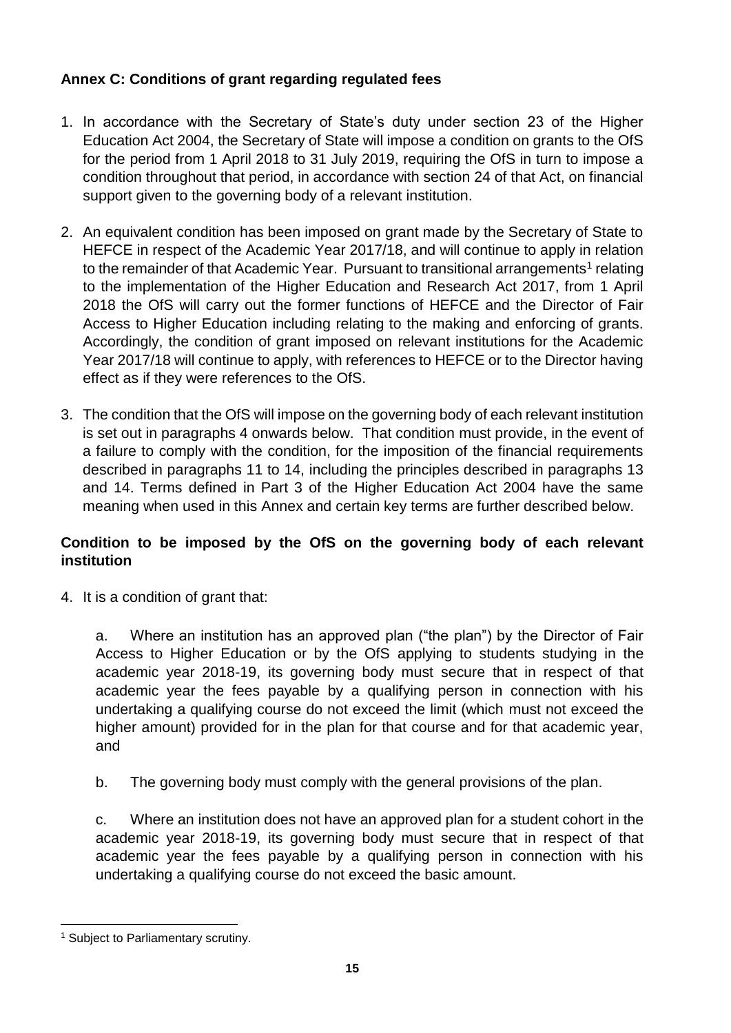# **Annex C: Conditions of grant regarding regulated fees**

- 1. In accordance with the Secretary of State's duty under section 23 of the Higher Education Act 2004, the Secretary of State will impose a condition on grants to the OfS for the period from 1 April 2018 to 31 July 2019, requiring the OfS in turn to impose a condition throughout that period, in accordance with section 24 of that Act, on financial support given to the governing body of a relevant institution.
- 2. An equivalent condition has been imposed on grant made by the Secretary of State to HEFCE in respect of the Academic Year 2017/18, and will continue to apply in relation to the remainder of that Academic Year. Pursuant to transitional arrangements<sup>1</sup> relating to the implementation of the Higher Education and Research Act 2017, from 1 April 2018 the OfS will carry out the former functions of HEFCE and the Director of Fair Access to Higher Education including relating to the making and enforcing of grants. Accordingly, the condition of grant imposed on relevant institutions for the Academic Year 2017/18 will continue to apply, with references to HEFCE or to the Director having effect as if they were references to the OfS.
- 3. The condition that the OfS will impose on the governing body of each relevant institution is set out in paragraphs 4 onwards below. That condition must provide, in the event of a failure to comply with the condition, for the imposition of the financial requirements described in paragraphs 11 to 14, including the principles described in paragraphs 13 and 14. Terms defined in Part 3 of the Higher Education Act 2004 have the same meaning when used in this Annex and certain key terms are further described below.

# **Condition to be imposed by the OfS on the governing body of each relevant institution**

4. It is a condition of grant that:

a. Where an institution has an approved plan ("the plan") by the Director of Fair Access to Higher Education or by the OfS applying to students studying in the academic year 2018-19, its governing body must secure that in respect of that academic year the fees payable by a qualifying person in connection with his undertaking a qualifying course do not exceed the limit (which must not exceed the higher amount) provided for in the plan for that course and for that academic year, and

b. The governing body must comply with the general provisions of the plan.

c. Where an institution does not have an approved plan for a student cohort in the academic year 2018-19, its governing body must secure that in respect of that academic year the fees payable by a qualifying person in connection with his undertaking a qualifying course do not exceed the basic amount.

 <sup>1</sup> Subject to Parliamentary scrutiny.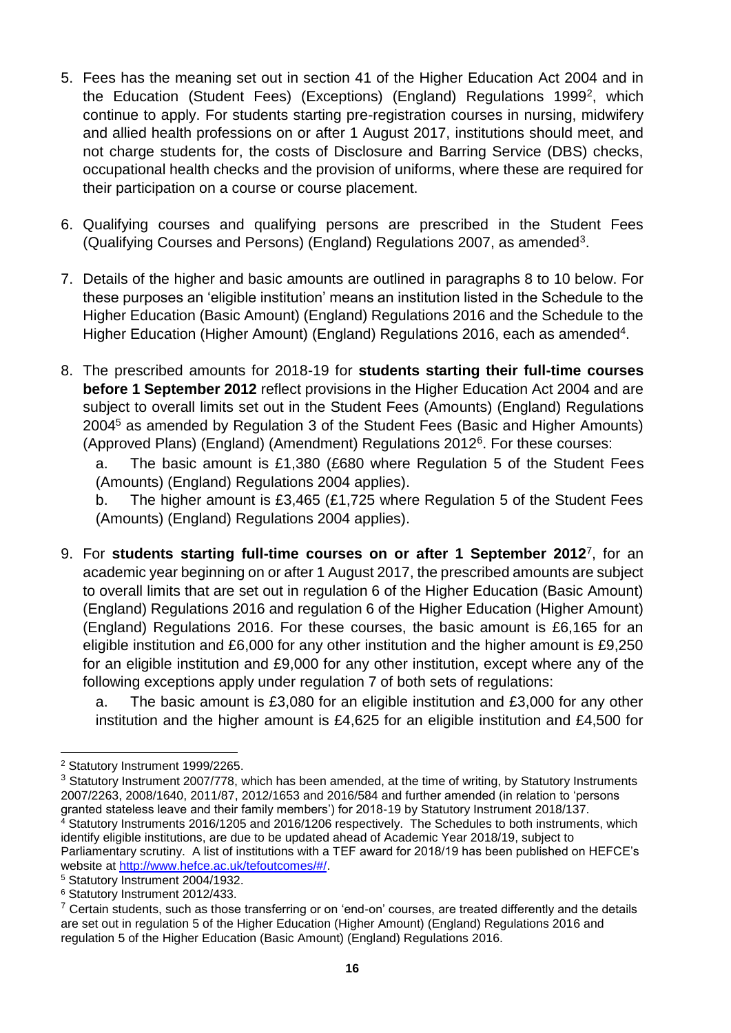- 5. Fees has the meaning set out in section 41 of the Higher Education Act 2004 and in the Education (Student Fees) (Exceptions) (England) Regulations 1999<sup>2</sup>, which continue to apply. For students starting pre-registration courses in nursing, midwifery and allied health professions on or after 1 August 2017, institutions should meet, and not charge students for, the costs of Disclosure and Barring Service (DBS) checks, occupational health checks and the provision of uniforms, where these are required for their participation on a course or course placement.
- 6. Qualifying courses and qualifying persons are prescribed in the Student Fees (Qualifying Courses and Persons) (England) Regulations 2007, as amended<sup>3</sup>.
- 7. Details of the higher and basic amounts are outlined in paragraphs 8 to 10 below. For these purposes an 'eligible institution' means an institution listed in the Schedule to the Higher Education (Basic Amount) (England) Regulations 2016 and the Schedule to the Higher Education (Higher Amount) (England) Regulations 2016, each as amended<sup>4</sup>.
- 8. The prescribed amounts for 2018-19 for **students starting their full-time courses before 1 September 2012** reflect provisions in the Higher Education Act 2004 and are subject to overall limits set out in the Student Fees (Amounts) (England) Regulations 2004<sup>5</sup> as amended by Regulation 3 of the Student Fees (Basic and Higher Amounts) (Approved Plans) (England) (Amendment) Regulations 2012<sup>6</sup> . For these courses:

a. The basic amount is £1,380 (£680 where Regulation 5 of the Student Fees (Amounts) (England) Regulations 2004 applies).

b. The higher amount is £3,465 (£1,725 where Regulation 5 of the Student Fees (Amounts) (England) Regulations 2004 applies).

9. For **students starting full-time courses on or after 1 September 2012**<sup>7</sup> , for an academic year beginning on or after 1 August 2017, the prescribed amounts are subject to overall limits that are set out in regulation 6 of the Higher Education (Basic Amount) (England) Regulations 2016 and regulation 6 of the Higher Education (Higher Amount) (England) Regulations 2016. For these courses, the basic amount is £6,165 for an eligible institution and £6,000 for any other institution and the higher amount is £9,250 for an eligible institution and £9,000 for any other institution, except where any of the following exceptions apply under regulation 7 of both sets of regulations:

a. The basic amount is £3,080 for an eligible institution and £3,000 for any other institution and the higher amount is £4,625 for an eligible institution and £4,500 for

 $\overline{a}$ <sup>2</sup> Statutory Instrument 1999/2265.

<sup>&</sup>lt;sup>3</sup> Statutory Instrument 2007/778, which has been amended, at the time of writing, by Statutory Instruments 2007/2263, 2008/1640, 2011/87, 2012/1653 and 2016/584 and further amended (in relation to 'persons granted stateless leave and their family members') for 2018-19 by Statutory Instrument 2018/137. <sup>4</sup> Statutory Instruments 2016/1205 and 2016/1206 respectively. The Schedules to both instruments, which identify eligible institutions, are due to be updated ahead of Academic Year 2018/19, subject to Parliamentary scrutiny. A list of institutions with a TEF award for 2018/19 has been published on HEFCE's website at [http://www.hefce.ac.uk/tefoutcomes/#/.](http://www.hefce.ac.uk/tefoutcomes/#/)

<sup>5</sup> Statutory Instrument 2004/1932.

<sup>6</sup> Statutory Instrument 2012/433.

 $7$  Certain students, such as those transferring or on 'end-on' courses, are treated differently and the details are set out in regulation 5 of the Higher Education (Higher Amount) (England) Regulations 2016 and regulation 5 of the Higher Education (Basic Amount) (England) Regulations 2016.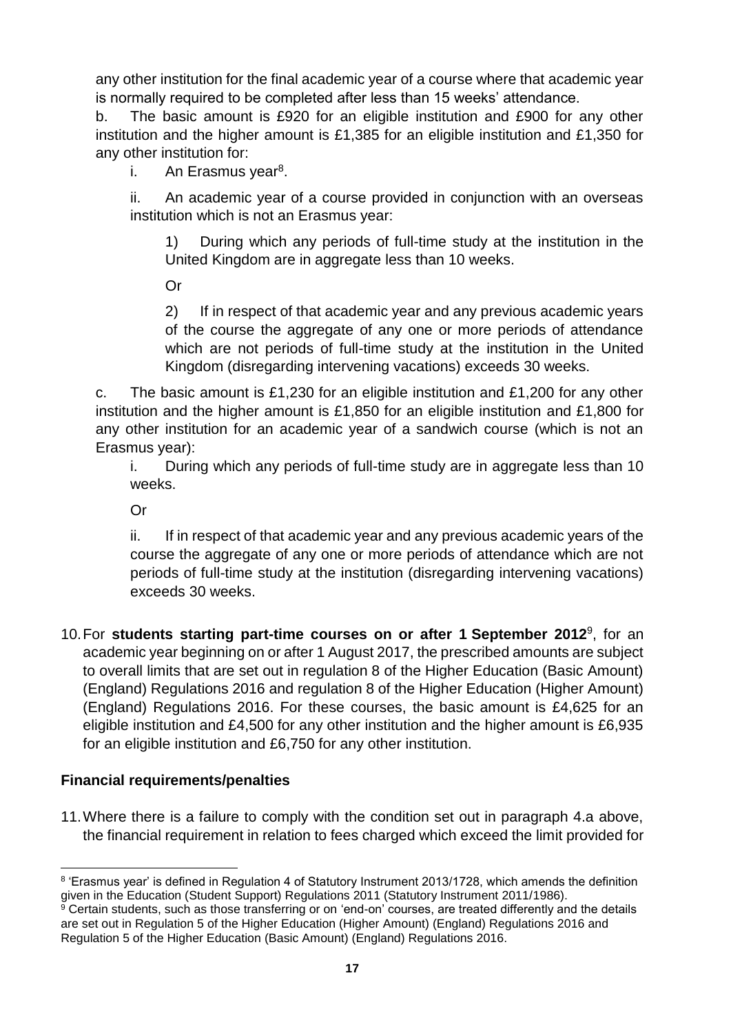any other institution for the final academic year of a course where that academic year is normally required to be completed after less than 15 weeks' attendance.

b. The basic amount is £920 for an eligible institution and £900 for any other institution and the higher amount is £1,385 for an eligible institution and £1,350 for any other institution for:

i. An Erasmus year<sup>8</sup>.

ii. An academic year of a course provided in conjunction with an overseas institution which is not an Erasmus year:

1) During which any periods of full-time study at the institution in the United Kingdom are in aggregate less than 10 weeks.

Or

2) If in respect of that academic year and any previous academic years of the course the aggregate of any one or more periods of attendance which are not periods of full-time study at the institution in the United Kingdom (disregarding intervening vacations) exceeds 30 weeks.

c. The basic amount is £1,230 for an eligible institution and £1,200 for any other institution and the higher amount is £1,850 for an eligible institution and £1,800 for any other institution for an academic year of a sandwich course (which is not an Erasmus year):

i. During which any periods of full-time study are in aggregate less than 10 weeks.

Or

ii. If in respect of that academic year and any previous academic years of the course the aggregate of any one or more periods of attendance which are not periods of full-time study at the institution (disregarding intervening vacations) exceeds 30 weeks.

10.For **students starting part-time courses on or after 1 September 2012**<sup>9</sup> , for an academic year beginning on or after 1 August 2017, the prescribed amounts are subject to overall limits that are set out in regulation 8 of the Higher Education (Basic Amount) (England) Regulations 2016 and regulation 8 of the Higher Education (Higher Amount) (England) Regulations 2016. For these courses, the basic amount is £4,625 for an eligible institution and £4,500 for any other institution and the higher amount is £6,935 for an eligible institution and £6,750 for any other institution.

# **Financial requirements/penalties**

11.Where there is a failure to comply with the condition set out in paragraph 4.a above, the financial requirement in relation to fees charged which exceed the limit provided for

 <sup>8</sup> 'Erasmus year' is defined in Regulation 4 of Statutory Instrument 2013/1728, which amends the definition given in the Education (Student Support) Regulations 2011 (Statutory Instrument 2011/1986).

 $\frac{9}{9}$  Certain students, such as those transferring or on 'end-on' courses, are treated differently and the details are set out in Regulation 5 of the Higher Education (Higher Amount) (England) Regulations 2016 and Regulation 5 of the Higher Education (Basic Amount) (England) Regulations 2016.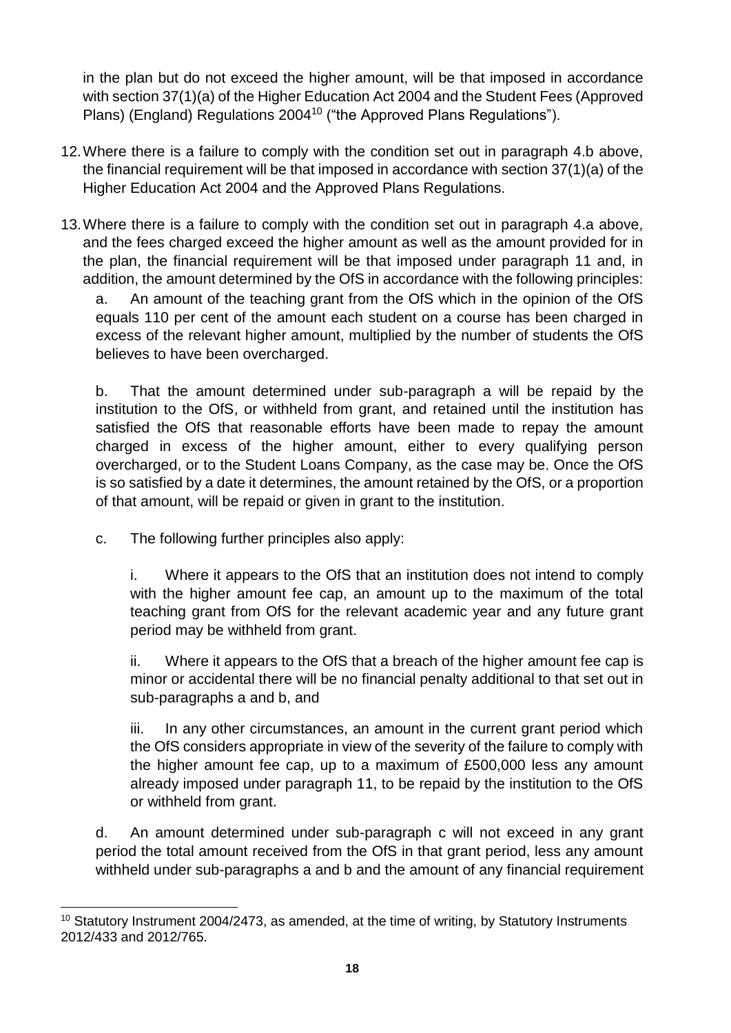in the plan but do not exceed the higher amount, will be that imposed in accordance with section 37(1)(a) of the Higher Education Act 2004 and the Student Fees (Approved Plans) (England) Regulations 2004<sup>10</sup> ("the Approved Plans Regulations").

- 12.Where there is a failure to comply with the condition set out in paragraph 4.b above, the financial requirement will be that imposed in accordance with section 37(1)(a) of the Higher Education Act 2004 and the Approved Plans Regulations.
- 13.Where there is a failure to comply with the condition set out in paragraph 4.a above, and the fees charged exceed the higher amount as well as the amount provided for in the plan, the financial requirement will be that imposed under paragraph 11 and, in addition, the amount determined by the OfS in accordance with the following principles:

a. An amount of the teaching grant from the OfS which in the opinion of the OfS equals 110 per cent of the amount each student on a course has been charged in excess of the relevant higher amount, multiplied by the number of students the OfS believes to have been overcharged.

b. That the amount determined under sub-paragraph a will be repaid by the institution to the OfS, or withheld from grant, and retained until the institution has satisfied the OfS that reasonable efforts have been made to repay the amount charged in excess of the higher amount, either to every qualifying person overcharged, or to the Student Loans Company, as the case may be. Once the OfS is so satisfied by a date it determines, the amount retained by the OfS, or a proportion of that amount, will be repaid or given in grant to the institution.

c. The following further principles also apply:

i. Where it appears to the OfS that an institution does not intend to comply with the higher amount fee cap, an amount up to the maximum of the total teaching grant from OfS for the relevant academic year and any future grant period may be withheld from grant.

ii. Where it appears to the OfS that a breach of the higher amount fee cap is minor or accidental there will be no financial penalty additional to that set out in sub-paragraphs a and b, and

iii. In any other circumstances, an amount in the current grant period which the OfS considers appropriate in view of the severity of the failure to comply with the higher amount fee cap, up to a maximum of £500,000 less any amount already imposed under paragraph 11, to be repaid by the institution to the OfS or withheld from grant.

d. An amount determined under sub-paragraph c will not exceed in any grant period the total amount received from the OfS in that grant period, less any amount withheld under sub-paragraphs a and b and the amount of any financial requirement

  $10$  Statutory Instrument 2004/2473, as amended, at the time of writing, by Statutory Instruments 2012/433 and 2012/765.